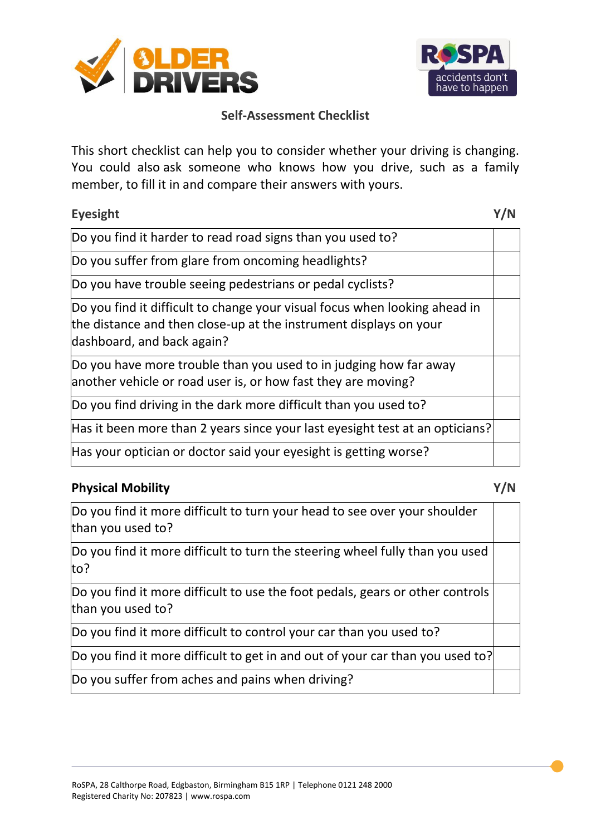



This short checklist can help you to consider whether your driving is changing. You could also ask someone who knows how you drive, such as a family member, to fill it in and compare their answers with yours.

| <b>Eyesight</b>                                                                                                                                                               |  |
|-------------------------------------------------------------------------------------------------------------------------------------------------------------------------------|--|
| Do you find it harder to read road signs than you used to?                                                                                                                    |  |
| Do you suffer from glare from oncoming headlights?                                                                                                                            |  |
| Do you have trouble seeing pedestrians or pedal cyclists?                                                                                                                     |  |
| Do you find it difficult to change your visual focus when looking ahead in<br>the distance and then close-up at the instrument displays on your<br>dashboard, and back again? |  |
| Do you have more trouble than you used to in judging how far away<br>another vehicle or road user is, or how fast they are moving?                                            |  |
| Do you find driving in the dark more difficult than you used to?                                                                                                              |  |
| Has it been more than 2 years since your last eyesight test at an opticians?                                                                                                  |  |
| Has your optician or doctor said your eyesight is getting worse?                                                                                                              |  |

## **Physical Mobility Y/N**

Do you find it more difficult to turn your head to see over your shoulder than you used to?

Do you find it more difficult to turn the steering wheel fully than you used to?

Do you find it more difficult to use the foot pedals, gears or other controls than you used to?

Do you find it more difficult to control your car than you used to?

Do you find it more difficult to get in and out of your car than you used to?

Do you suffer from aches and pains when driving?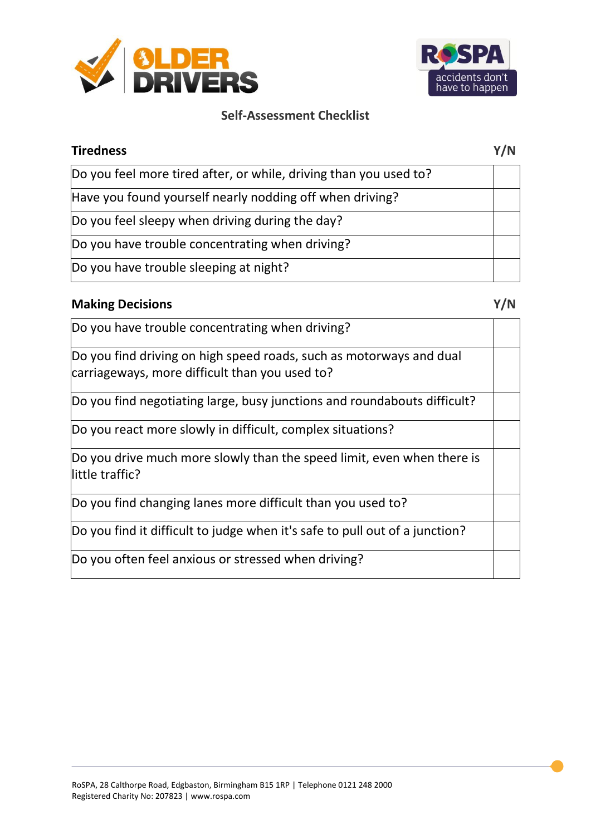



| <b>Tiredness</b>                                                  | Y/N |
|-------------------------------------------------------------------|-----|
| Do you feel more tired after, or while, driving than you used to? |     |
| Have you found yourself nearly nodding off when driving?          |     |
| Do you feel sleepy when driving during the day?                   |     |
| Do you have trouble concentrating when driving?                   |     |
| Do you have trouble sleeping at night?                            |     |

# **Making Decisions Y/N**

| Do you have trouble concentrating when driving?                                                                       |  |
|-----------------------------------------------------------------------------------------------------------------------|--|
| Do you find driving on high speed roads, such as motorways and dual<br>carriageways, more difficult than you used to? |  |
| Do you find negotiating large, busy junctions and roundabouts difficult?                                              |  |
| Do you react more slowly in difficult, complex situations?                                                            |  |
| Do you drive much more slowly than the speed limit, even when there is<br>llittle traffic?                            |  |
| Do you find changing lanes more difficult than you used to?                                                           |  |
| Do you find it difficult to judge when it's safe to pull out of a junction?                                           |  |
| Do you often feel anxious or stressed when driving?                                                                   |  |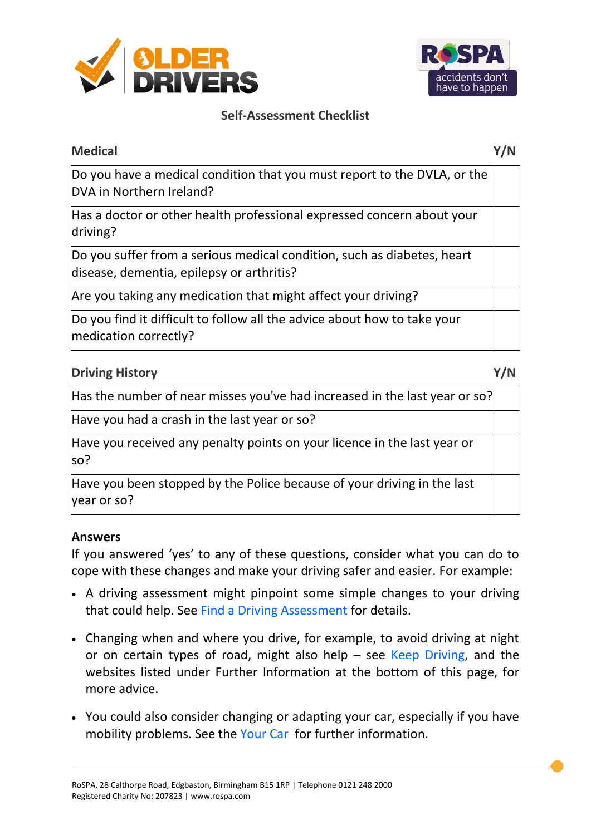



# **Medical Y/N**

Do you have a medical condition that you must report to the DVLA, or the DVA in Northern Ireland?

Has a doctor or other health professional expressed concern about your driving?

Do you suffer from a serious medical condition, such as diabetes, heart disease, dementia, epilepsy or arthritis?

Are you taking any medication that might affect your driving?

Do you find it difficult to follow all the advice about how to take your medication correctly?

# **Driving History Y/N**

Has the number of near misses you've had increased in the last year or so?

Have you had a crash in the last year or so?

Have you received any penalty points on your licence in the last year or so?

Have you been stopped by the Police because of your driving in the last year or so?

## **Answers**

If you answered 'yes' to any of these questions, consider what you can do to cope with these changes and make your driving safer and easier. For example:

- A driving assessment might pinpoint some simple changes to your driving that could help. See [Find a Driving Assessment f](http://www.olderdrivers.org.uk/driver-assessment/find-a-driver-assessment/)or details.
- Changing when and where you drive, for example, to avoid driving at night or on certain types of road, might also help  $-$  see [Keep Driving,](http://www.olderdrivers.org.uk/keep-driving/) and the websites listed under Further Information at the bottom of this page, for more advice.
- You could also consider changing or adapting your car, especially if you have mobility problems. See the [Your Car](http://www.olderdrivers.org.uk/your-car/) for further information.